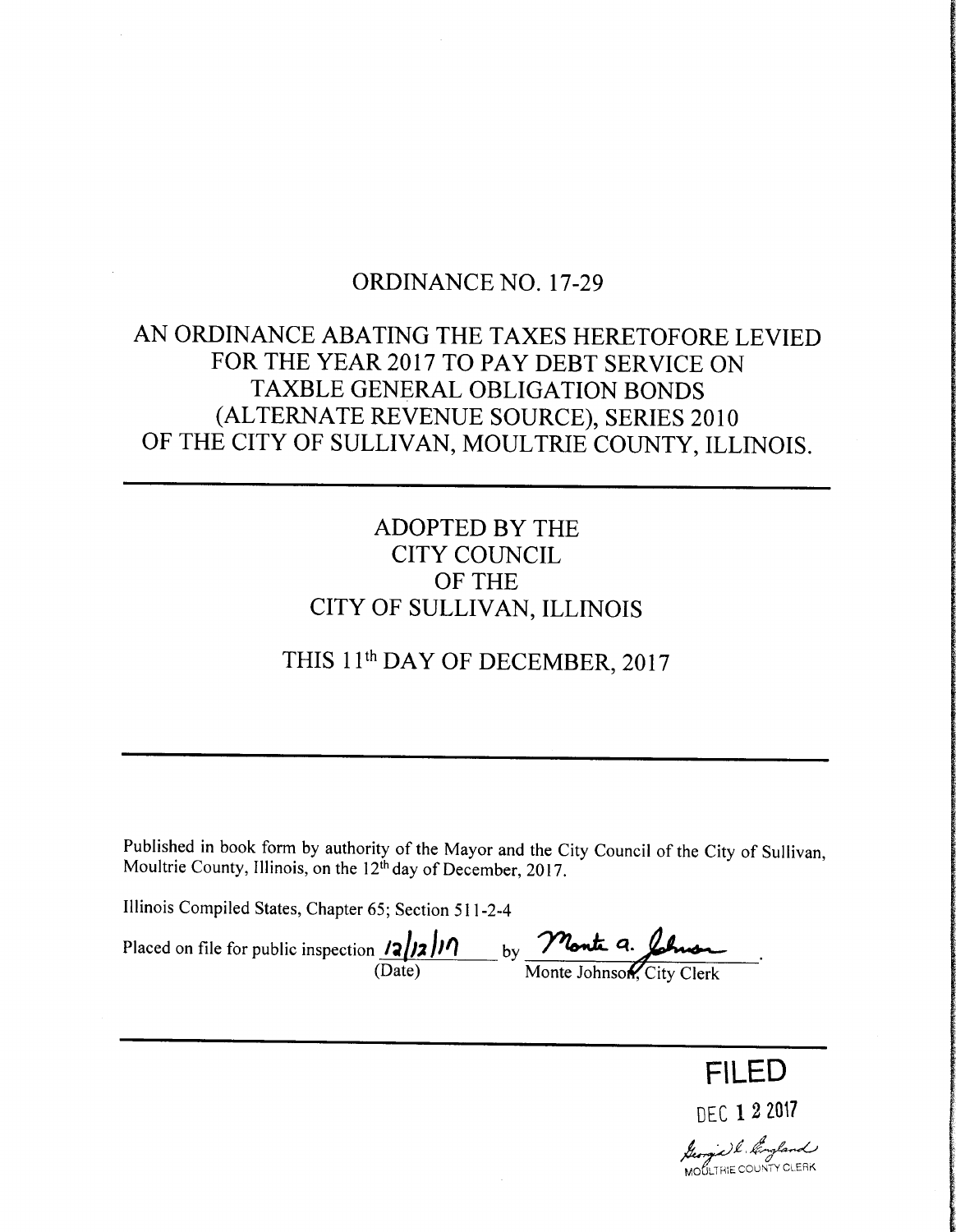## ORDINANCE NO. 17-29

# AN ORDINANCE ABATING THE TAXES HERETOFORE LEVIED FOR THE YEAR 2017 TO PAY DEBT SERVICE ON TAXBLE GENERAL OBLIGATION BONDS ALTERNATE REVENUE SOURCE), SERIES 2010 OF THE CITY OF SULLIVAN, MOULTRIE COUNTY, ILLINOIS.

## ADOPTED BY THE CITY COUNCIL OF THE CITY OF SULLIVAN, ILLINOIS

# THIS 11th DAY OF DECEMBER, 2017

Published in book form by authority of the Mayor and the City Council of the City of Sullivan, Moultrie County, Illinois, on the 12<sup>th</sup> day of December, 2017.

Illinois Compiled States, Chapter 65; Section 511-2-4

Placed on file for public inspection  $\frac{1}{2}$   $\frac{1}{2}$   $\frac{1}{2}$  by  $\frac{1}{2}$   $\frac{1}{2}$   $\frac{1}{6}$ Date) Monte Johnson, City Clerk

DEC 1 2 2017 M., Leonie) l. *kongland*<br>MOULTHIE COUNTY CLERK

FILED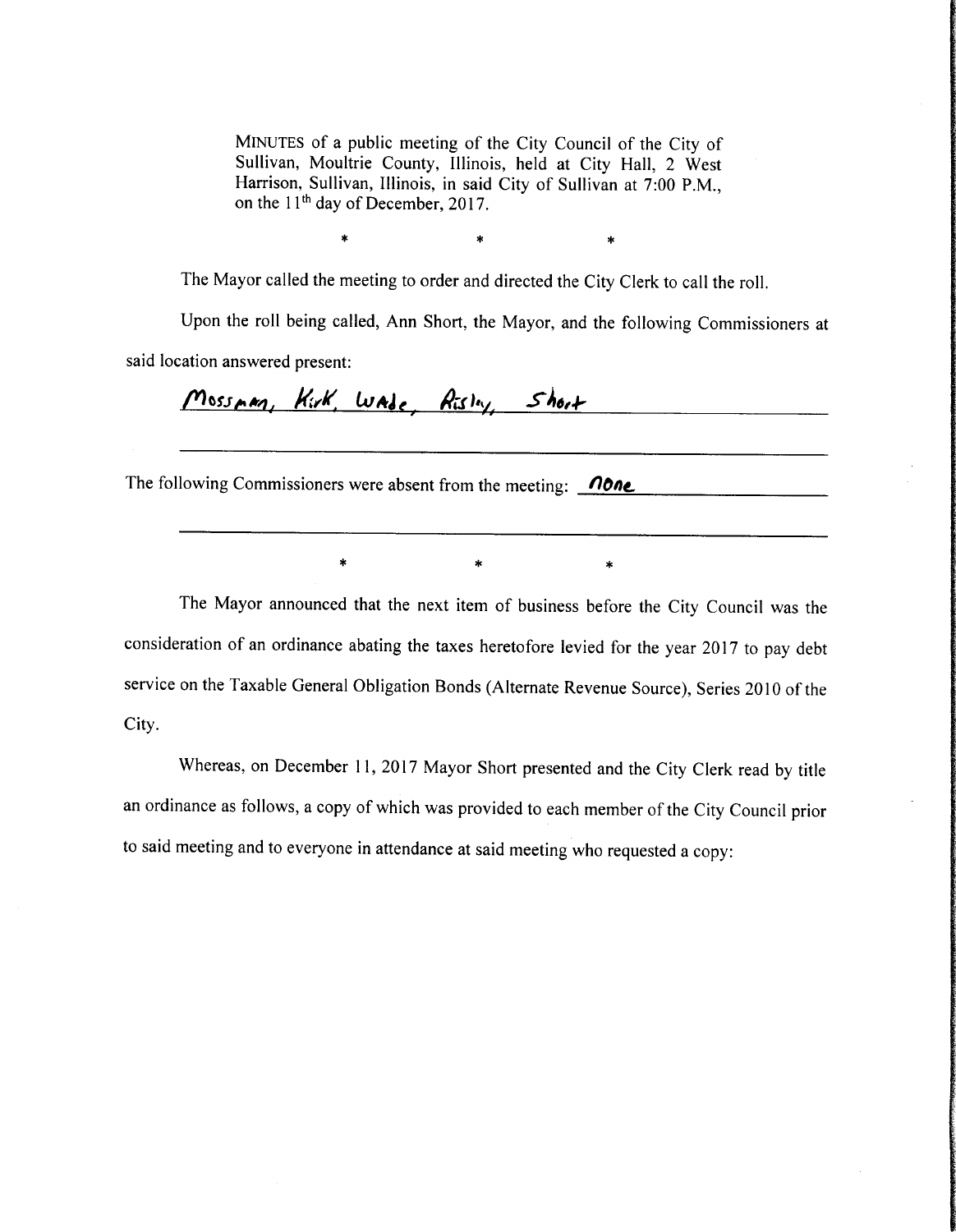MINUTES of <sup>a</sup> public meeting of the City Council of the City of Sullivan, Moultrie County, Illinois, held at City Hall, 2 West Harrison, Sullivan, Illinois, in said City of Sullivan at 7:00 P.M., on the  $11<sup>th</sup>$  day of December, 2017.

> $\star$  $\ast$  $\ast$

The Mayor called the meeting to order and directed the City Clerk to call the roll.

Upon the roll being called, Ann Short, the Mayor, and the following Commissioners at said location answered present:

Mossman, Kirk, Wade, Risley, Short

The following Commissioners were absent from the meeting:  $\Box$ 

 $\ast$ 

The Mayor announced that the next item of business before the City Council was the consideration of an ordinance abating the taxes heretofore levied for the year 2017 to pay debt service on the Taxable General Obligation Bonds (Alternate Revenue Source), Series <sup>2010</sup> of the City.

 $\ast$ 

Whereas, on December 11, 2017 Mayor Short presented and the City Clerk read by title an ordinance as follows, a copy of which was provided to each member of the City Council prior to said meeting and to everyone in attendance at said meeting who requested <sup>a</sup> copy: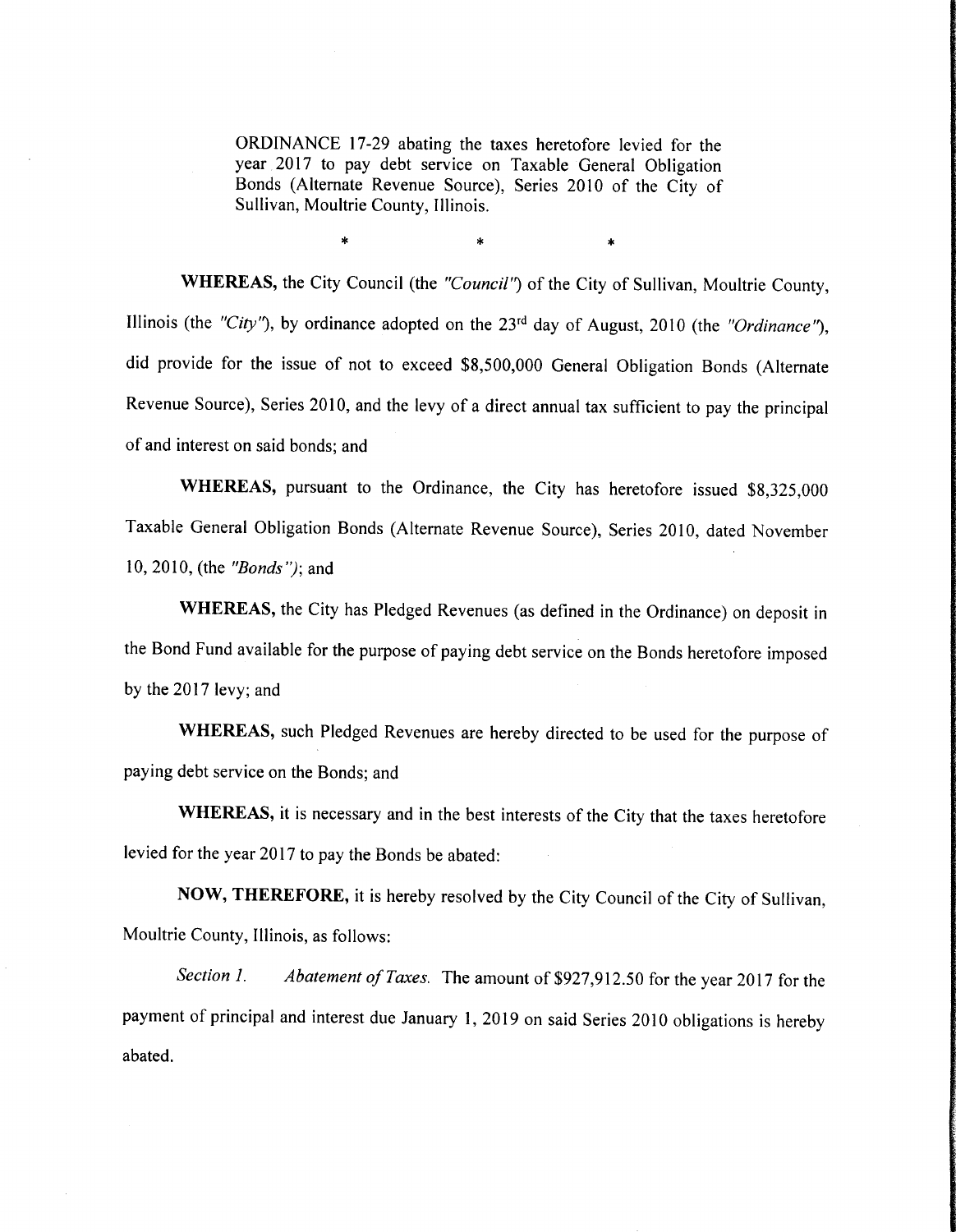ORDINANCE 17-29 abating the taxes heretofore levied for the year 2017 to pay debt service on Taxable General Obligation Bonds ( Alternate Revenue Source), Series <sup>2010</sup> of the City of Sullivan, Moultrie County, Illinois.

sk.

 $\star$ 

WHEREAS, the City Council (the "Council") of the City of Sullivan, Moultrie County, Illinois (the "City"), by ordinance adopted on the  $23<sup>rd</sup>$  day of August, 2010 (the "Ordinance"), did provide for the issue of not to exceed \$8,500,000 General Obligation Bonds (Alternate Revenue Source), Series 2010, and the levy of <sup>a</sup> direct annual tax sufficient to pay the principal of and interest on said bonds; and

WHEREAS, pursuant to the Ordinance, the City has heretofore issued \$8,325,000 Taxable General Obligation Bonds ( Alternate Revenue Source), Series 2010, dated November 10, 2010, (the  $"Bonds"$ ); and

WHEREAS, the City has Pledged Revenues (as defined in the Ordinance) on deposit in the Bond Fund available for the purpose of paying debt service on the Bonds heretofore imposed by the 2017 levy; and

WHEREAS, such Pledged Revenues are hereby directed to be used for the purpose of paying debt service on the Bonds; and

WHEREAS, it is necessary and in the best interests of the City that the taxes heretofore levied for the year 2017 to pay the Bonds be abated:

NOW, THEREFORE, it is hereby resolved by the City Council of the City of Sullivan, Moultrie County, Illinois, as follows:

Section 1. Abatement of Taxes. The amount of \$927,912.50 for the year 2017 for the payment of principal and interest due January 1, 2019 on said Series 2010 obligations is hereby abated.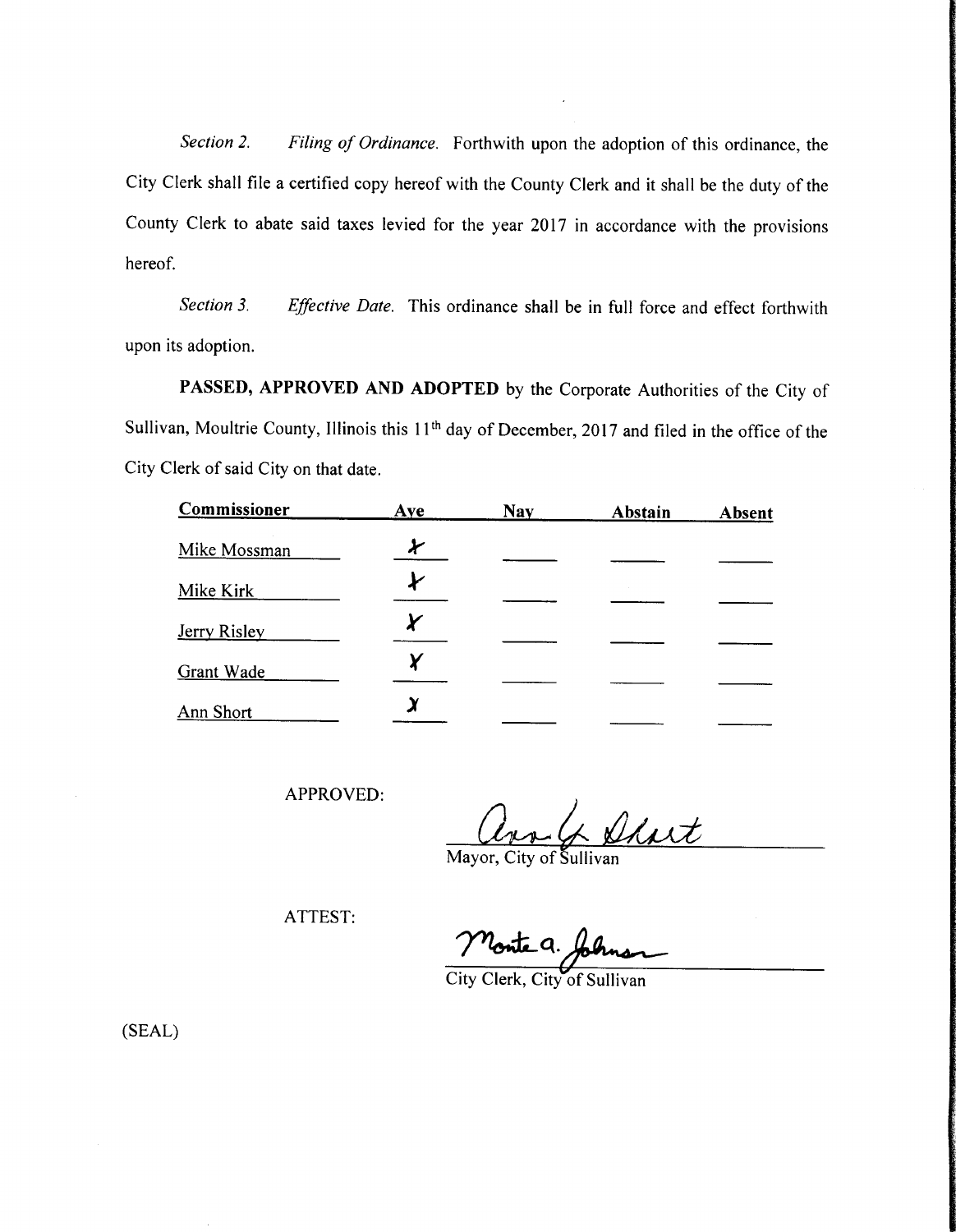Section 2. Filing of Ordinance. Forthwith upon the adoption of this ordinance, the City Clerk shall file <sup>a</sup> certified copy hereof with the County Clerk and it shall be the duty of the County Clerk to abate said taxes levied for the year 2017 in accordance with the provisions hereof.

Section 3. Effective Date. This ordinance shall be in full force and effect forthwith upon its adoption.

PASSED, APPROVED AND ADOPTED by the Corporate Authorities of the City of Sullivan, Moultrie County, Illinois this 11<sup>th</sup> day of December, 2017 and filed in the office of the City Clerk of said City on that date.

| Commissioner      | Aye | <b>Nay</b> | Abstain | <b>Absent</b> |
|-------------------|-----|------------|---------|---------------|
| Mike Mossman      |     |            |         |               |
| Mike Kirk         |     |            |         |               |
| Jerry Risley      |     |            |         |               |
| <b>Grant Wade</b> |     |            |         |               |
| Ann Short         |     |            |         |               |

APPROVED:

Short

Mayor, City of gullivan

ATTEST:

Monte a.

City Clerk, City of Sullivan

SEAL)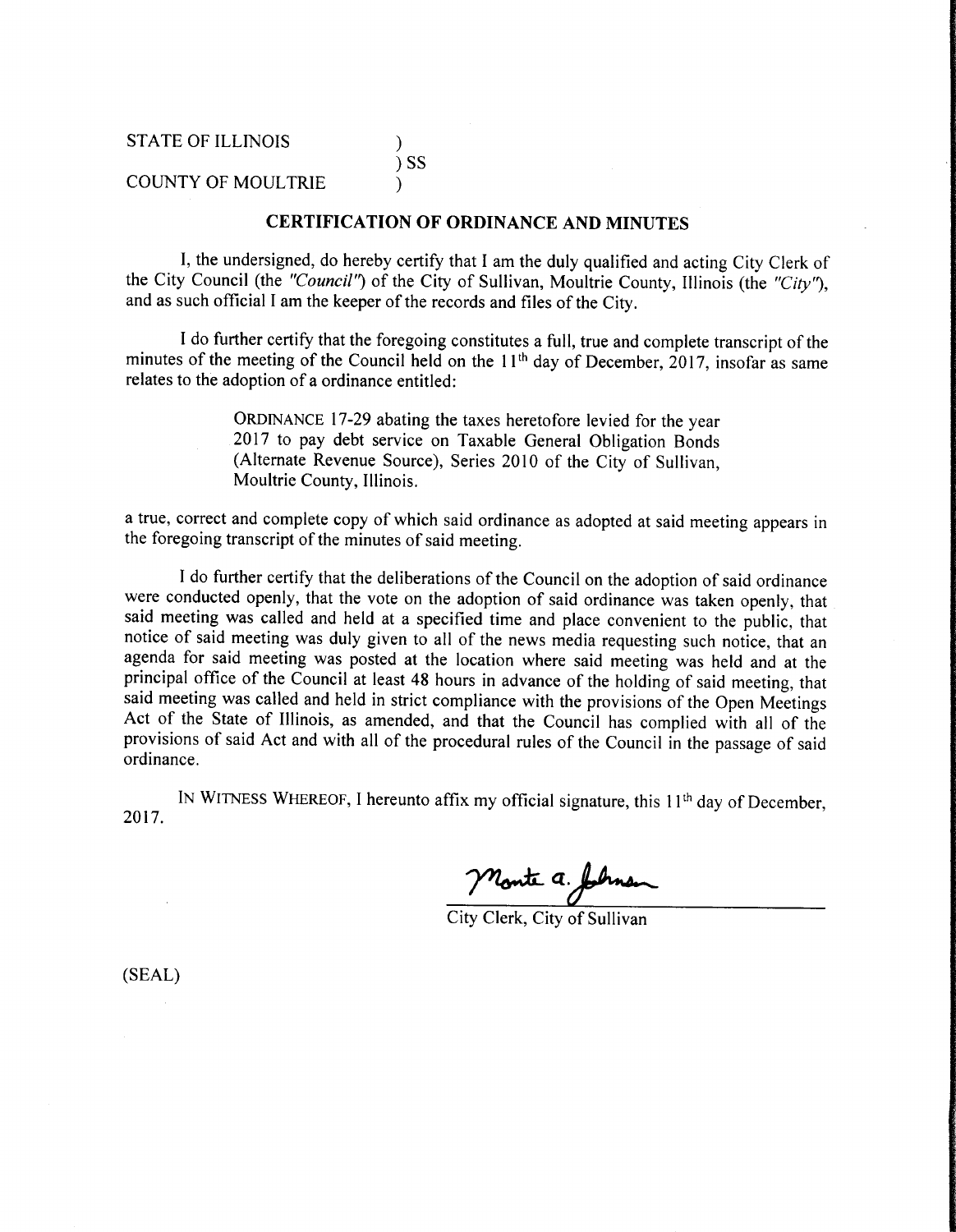## ) SS

### COUNTY OF MOULTRIE

#### CERTIFICATION OF ORDINANCE AND MINUTES

1, the undersigned, do hereby certify that I am the duly qualified and acting City Clerk of the City Council (the "Council") of the City of Sullivan, Moultrie County, Illinois (the "City"), and as such official I am the keeper of the records and files of the City.

I do further certify that the foregoing constitutes <sup>a</sup> full, true and complete transcript of the minutes of the meeting of the Council held on the  $11<sup>th</sup>$  day of December, 2017, insofar as same relates to the adoption of <sup>a</sup> ordinance entitled:

> ORDINANCE 17-29 abating the taxes heretofore levied for the year 2017 to pay debt service on Taxable General Obligation Bonds Alternate Revenue Source), Series <sup>2010</sup> of the City of Sullivan, Moultrie County, Illinois.

<sup>a</sup> true, correct and complete copy of which said ordinance as adopted at said meeting appears in the foregoing transcript of the minutes of said meeting.

<sup>I</sup> do further certify that the deliberations of the Council on the adoption of said ordinance were conducted openly, that the vote on the adoption of said ordinance was taken openly, that said meeting was called and held at a specified time and place convenient to the public, that notice of said meeting was duly given to all of the news media requesting such notice, that an agenda for said meeting was posted at the location where said meeting was held and at the principal office of the Council at least 48 hours in advance of the holding of said meeting, that said meeting was called and held in strict compliance with the provisions of the Open Meetings Act of the State of Illinois, as amended, and that the Council has complied with all of the provisions of said Act and with all of the procedural rules of the Council in the passage of said ordinance.

2017. IN WITNESS WHEREOF, I hereunto affix my official signature, this  $11<sup>th</sup>$  day of December,

Monte a. Johnson

SEAL)